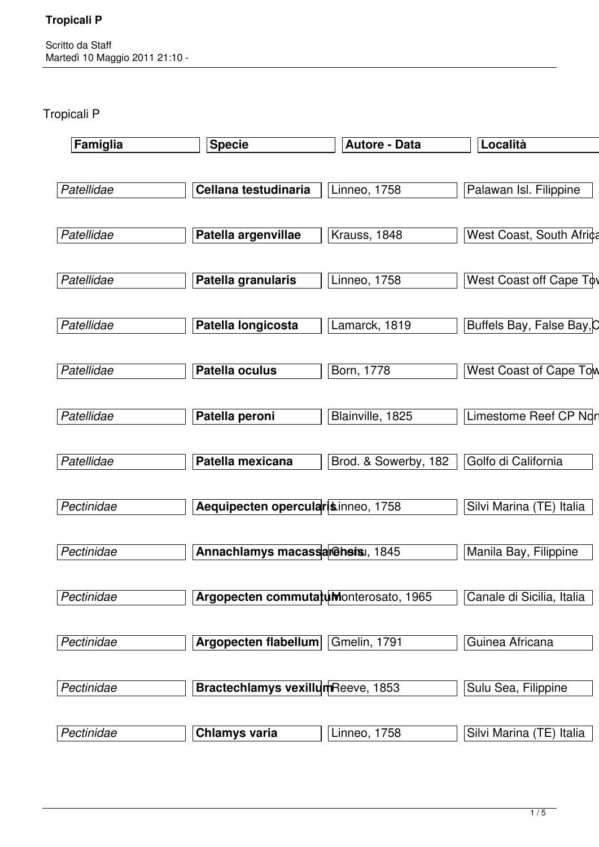Scritto da Staff Martedì 10 Maggio 2011 21:10 -

Tropicali P

| Famiglia   | <b>Specie</b>                         | <b>Autore - Data</b> | Località                      |
|------------|---------------------------------------|----------------------|-------------------------------|
| Patellidae | Cellana testudinaria                  | Linneo, 1758         | Palawan Isl. Filippine        |
| Patellidae | Patella argenvillae                   | Krauss, 1848         | West Coast, South Africa      |
| Patellidae | Patella granularis                    | <b>Linneo, 1758</b>  | West Coast off Cape Tov       |
| Patellidae | Patella longicosta                    | Lamarck, 1819        | Buffels Bay, False Bay, O     |
| Patellidae | Patella oculus                        | Born, 1778           | <b>West Coast of Cape Tow</b> |
| Patellidae | Patella peroni                        | Blainville, 1825     | Limestome Reef CP Nor         |
| Patellidae | Patella mexicana                      | Brod. & Sowerby, 182 | Golfo di California           |
| Pectinidae | Aequipecten opercularisinneo, 1758    |                      | Silvi Marina (TE) Italia      |
| Pectinidae | Annachlamys macassarGhsisi, 1845      |                      | Manila Bay, Filippine         |
| Pectinidae | Argopecten commutatuMonterosato, 1965 |                      | Canale di Sicilia, Italia     |
| Pectinidae | Argopecten flabellum                  | Gmelin, 1791         | Guinea Africana               |
| Pectinidae | Bractechlamys vexillumReeve, 1853     |                      | Sulu Sea, Filippine           |
| Pectinidae | <b>Chlamys varia</b>                  | Linneo, $1758$       | Silvi Marina (TE) Italia      |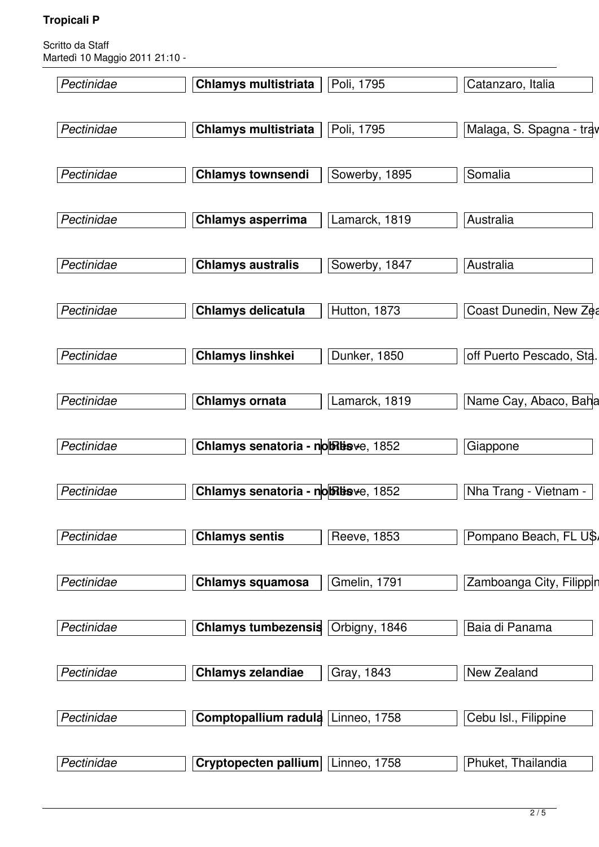| Pectinidae | <b>Chlamys multistriata</b>         | Poli, 1795    | Catanzaro, Italia        |
|------------|-------------------------------------|---------------|--------------------------|
| Pectinidae | <b>Chlamys multistriata</b>         | Poli, 1795    | Malaga, S. Spagna - trav |
|            |                                     |               |                          |
| Pectinidae | <b>Chlamys townsendi</b>            | Sowerby, 1895 | Somalia                  |
| Pectinidae | <b>Chlamys asperrima</b>            | Lamarck, 1819 | Australia                |
| Pectinidae | <b>Chlamys australis</b>            | Sowerby, 1847 | Australia                |
| Pectinidae | <b>Chlamys delicatula</b>           | Hutton, 1873  | Coast Dunedin, New Zea   |
| Pectinidae | <b>Chlamys linshkei</b>             | Dunker, 1850  | off Puerto Pescado, Sta. |
| Pectinidae | <b>Chlamys ornata</b>               | Lamarck, 1819 | Name Cay, Abaco, Baha    |
| Pectinidae | Chlamys senatoria - no Fissve, 1852 |               | Giappone                 |
| Pectinidae | Chlamys senatoria - noBisve, 1852   |               | Nha Trang - Vietnam -    |
| Pectinidae | <b>Chlamys sentis</b>               | Reeve, 1853   | Pompano Beach, FL U\$    |
| Pectinidae | <b>Chlamys squamosa</b>             | Gmelin, 1791  | Zamboanga City, Filippin |
| Pectinidae | <b>Chlamys tumbezensis</b>          | Orbigny, 1846 | Baia di Panama           |
| Pectinidae | <b>Chlamys zelandiae</b>            | Gray, 1843    | New Zealand              |
| Pectinidae | Comptopallium radula                | Linneo, 1758  | Cebu Isl., Filippine     |
| Pectinidae | Cryptopecten pallium                | Linneo, 1758  | Phuket, Thailandia       |
|            |                                     |               |                          |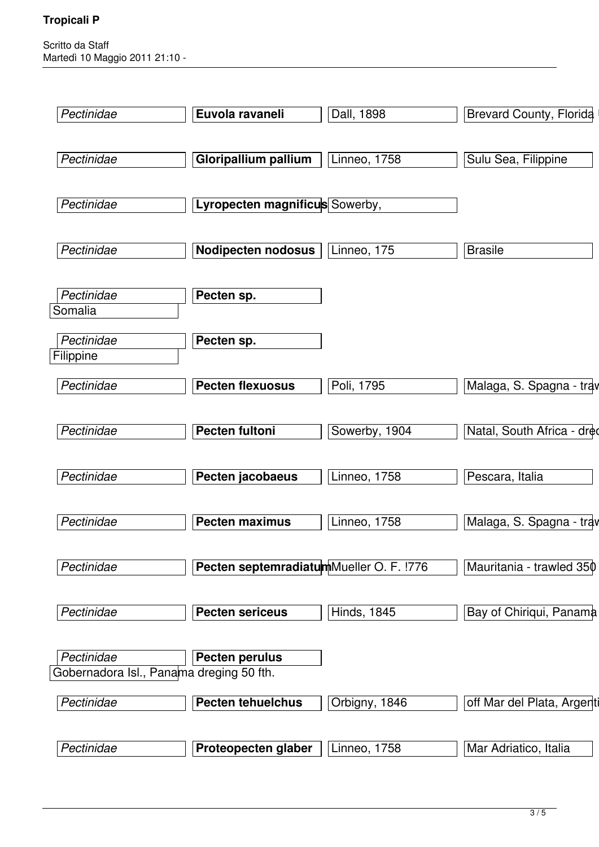| Pectinidae                               | Euvola ravaneli                         | Dall, 1898          | <b>Brevard County, Florida</b> |
|------------------------------------------|-----------------------------------------|---------------------|--------------------------------|
|                                          |                                         |                     |                                |
| Pectinidae                               | Gloripallium pallium                    | <b>Linneo, 1758</b> | Sulu Sea, Filippine            |
|                                          |                                         |                     |                                |
| Pectinidae                               | Lyropecten magnificus Sowerby,          |                     |                                |
|                                          |                                         |                     |                                |
| Pectinidae                               | <b>Nodipecten nodosus</b>               | Linneo, 175         | <b>Brasile</b>                 |
|                                          |                                         |                     |                                |
| Pectinidae                               | Pecten sp.                              |                     |                                |
| Somalia                                  |                                         |                     |                                |
| Pectinidae                               | Pecten sp.                              |                     |                                |
| Filippine                                |                                         |                     |                                |
| Pectinidae                               | <b>Pecten flexuosus</b>                 | Poli, 1795          | Malaga, S. Spagna - trav       |
|                                          |                                         |                     |                                |
| Pectinidae                               | Pecten fultoni                          | Sowerby, 1904       | Natal, South Africa - dred     |
|                                          |                                         |                     |                                |
| Pectinidae                               | Pecten jacobaeus                        | <b>Linneo, 1758</b> | Pescara, Italia                |
|                                          |                                         |                     |                                |
| Pectinidae                               | Pecten maximus                          | <b>Linneo, 1758</b> | Malaga, S. Spagna - trav       |
| Pectinidae                               | Pecten septemradiatumMueller O. F. !776 |                     |                                |
|                                          |                                         |                     | Mauritania - trawled 350       |
| Pectinidae                               | <b>Pecten sericeus</b>                  | <b>Hinds, 1845</b>  | Bay of Chiriqui, Panama        |
|                                          |                                         |                     |                                |
| Pectinidae                               | <b>Pecten perulus</b>                   |                     |                                |
| Gobernadora Isl., Panama dreging 50 fth. |                                         |                     |                                |
| Pectinidae                               | <b>Pecten tehuelchus</b>                | Orbigny, 1846       | off Mar del Plata, Argenti     |
|                                          |                                         |                     |                                |
| Pectinidae                               | Proteopecten glaber                     | <b>Linneo, 1758</b> | Mar Adriatico, Italia          |
|                                          |                                         |                     |                                |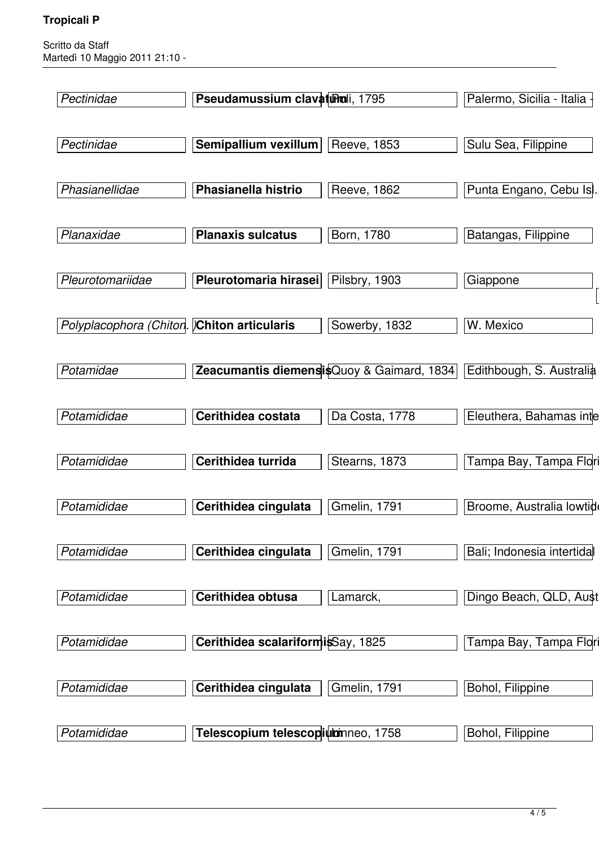| Pectinidae                                 | Pseudamussium clavaturali, 1795   |                                           | Palermo, Sicilia - Italia            |
|--------------------------------------------|-----------------------------------|-------------------------------------------|--------------------------------------|
| Pectinidae                                 | Semipallium vexillum              | Reeve, 1853                               | Sulu Sea, Filippine                  |
| Phasianellidae                             | Phasianella histrio               | Reeve, 1862                               | Punta Engano, Cebu Isl.              |
| Planaxidae                                 | <b>Planaxis sulcatus</b>          | Born, 1780                                | Batangas, Filippine                  |
| Pleurotomariidae                           | Pleurotomaria hirasei             | Pilsbry, 1903                             | Giappone                             |
| Polyplacophora (Chiton. Chiton articularis |                                   | Sowerby, 1832                             | W. Mexico                            |
| Potamidae                                  |                                   | Zeacumantis diemensisQuoy & Gaimard, 1834 | Edithbough, S. Australia             |
| Potamididae                                | Cerithidea costata                | Da Costa, 1778                            | Eleuthera, Bahamas inte              |
| Potamididae                                | Cerithidea turrida                | Stearns, 1873                             | Tampa Bay, Tampa Flo <mark>ri</mark> |
| Potamididae                                | Cerithidea cingulata              | <b>Gmelin, 1791</b>                       | Broome, Australia lowtide            |
| Potamididae                                | Cerithidea cingulata              | Gmelin, 1791                              | Bali; Indonesia intertida            |
| Potamididae                                | Cerithidea obtusa                 | Lamarck,                                  | Dingo Beach, QLD, Aust               |
| Potamididae                                | Cerithidea scalariformisSay, 1825 |                                           | Tampa Bay, Tampa Flori               |
| Potamididae                                | Cerithidea cingulata              | Gmelin, 1791                              | Bohol, Filippine                     |
| Potamididae                                | Telescopium telescopiumneo, 1758  |                                           | Bohol, Filippine                     |